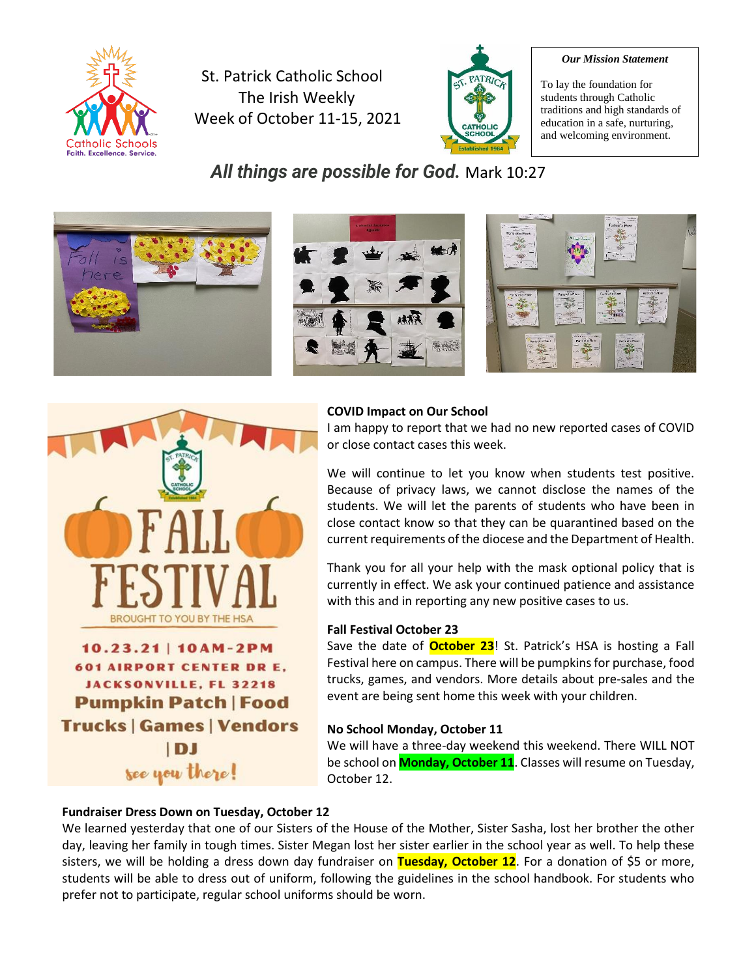

St. Patrick Catholic School The Irish Weekly Week of October 11-15, 2021



#### *Our Mission Statement*

To lay the foundation for students through Catholic traditions and high standards of education in a safe, nurturing, and welcoming environment.

*All things are possible for God.* Mark 10:27



#### **COVID Impact on Our School**

I am happy to report that we had no new reported cases of COVID or close contact cases this week.

We will continue to let you know when students test positive. Because of privacy laws, we cannot disclose the names of the students. We will let the parents of students who have been in close contact know so that they can be quarantined based on the current requirements of the diocese and the Department of Health.

Thank you for all your help with the mask optional policy that is currently in effect. We ask your continued patience and assistance with this and in reporting any new positive cases to us.

#### **Fall Festival October 23**

Save the date of **October 23**! St. Patrick's HSA is hosting a Fall Festival here on campus. There will be pumpkins for purchase, food trucks, games, and vendors. More details about pre-sales and the event are being sent home this week with your children.

#### **No School Monday, October 11**

We will have a three-day weekend this weekend. There WILL NOT be school on **Monday, October 11**. Classes will resume on Tuesday, October 12.

#### **Fundraiser Dress Down on Tuesday, October 12**

We learned yesterday that one of our Sisters of the House of the Mother, Sister Sasha, lost her brother the other day, leaving her family in tough times. Sister Megan lost her sister earlier in the school year as well. To help these sisters, we will be holding a dress down day fundraiser on **Tuesday, October 12**. For a donation of \$5 or more, students will be able to dress out of uniform, following the guidelines in the school handbook. For students who prefer not to participate, regular school uniforms should be worn.



 $10.23.21$  |  $10AM-2PM$ **601 AIRPORT CENTER DR E. JACKSONVILLE, FL 32218 Pumpkin Patch | Food Trucks | Games | Vendors** IDJ see you there!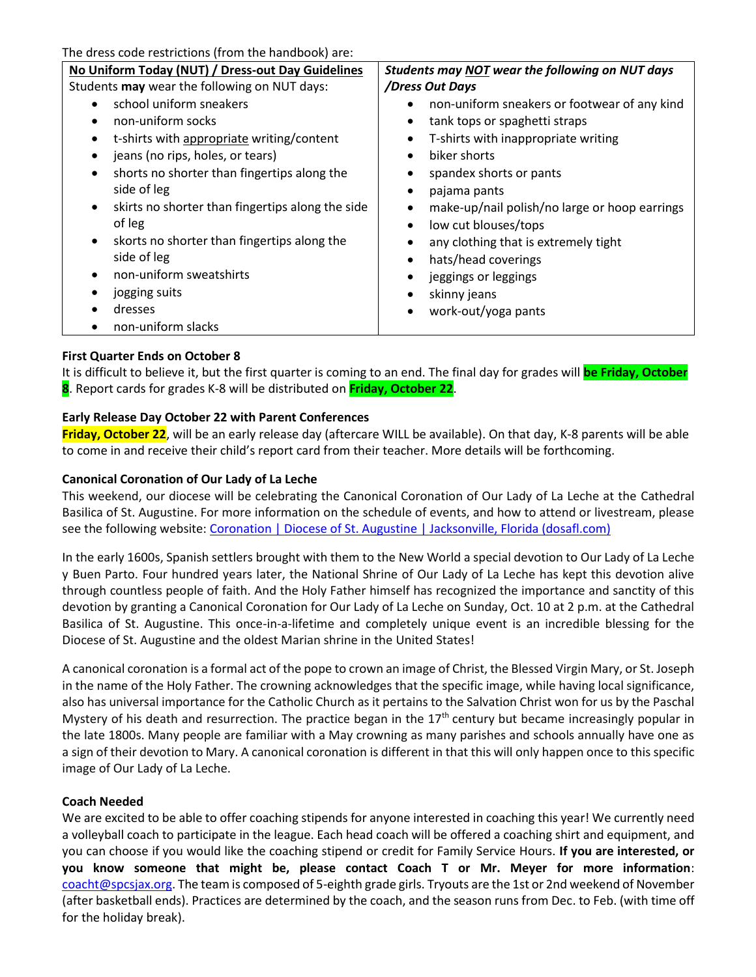The dress code restrictions (from the handbook) are:

| No Uniform Today (NUT) / Dress-out Day Guidelines             | Students may NOT wear the following on NUT days            |
|---------------------------------------------------------------|------------------------------------------------------------|
| Students may wear the following on NUT days:                  | /Dress Out Days                                            |
| school uniform sneakers                                       | non-uniform sneakers or footwear of any kind<br>٠          |
| non-uniform socks                                             | tank tops or spaghetti straps<br>٠                         |
| t-shirts with appropriate writing/content<br>٠                | T-shirts with inappropriate writing                        |
| jeans (no rips, holes, or tears)<br>$\bullet$                 | biker shorts<br>$\bullet$                                  |
| shorts no shorter than fingertips along the<br>$\bullet$      | spandex shorts or pants<br>٠                               |
| side of leg                                                   | pajama pants<br>٠                                          |
| skirts no shorter than fingertips along the side<br>$\bullet$ | make-up/nail polish/no large or hoop earrings<br>$\bullet$ |
| of leg                                                        | low cut blouses/tops<br>٠                                  |
| skorts no shorter than fingertips along the<br>$\bullet$      | any clothing that is extremely tight<br>٠                  |
| side of leg                                                   | hats/head coverings<br>٠                                   |
| non-uniform sweatshirts                                       | jeggings or leggings<br>٠                                  |
| jogging suits<br>٠                                            | skinny jeans<br>٠                                          |
| dresses                                                       | work-out/yoga pants<br>$\bullet$                           |
| non-uniform slacks                                            |                                                            |

### **First Quarter Ends on October 8**

It is difficult to believe it, but the first quarter is coming to an end. The final day for grades will **be Friday, October 8**. Report cards for grades K-8 will be distributed on **Friday, October 22**.

### **Early Release Day October 22 with Parent Conferences**

**Friday, October 22**, will be an early release day (aftercare WILL be available). On that day, K-8 parents will be able to come in and receive their child's report card from their teacher. More details will be forthcoming.

#### **Canonical Coronation of Our Lady of La Leche**

This weekend, our diocese will be celebrating the Canonical Coronation of Our Lady of La Leche at the Cathedral Basilica of St. Augustine. For more information on the schedule of events, and how to attend or livestream, please see the following website: [Coronation | Diocese of St. Augustine | Jacksonville, Florida \(dosafl.com\)](https://coronation.dosafl.com/)

In the early 1600s, Spanish settlers brought with them to the New World a special devotion to Our Lady of La Leche y Buen Parto. Four hundred years later, the National Shrine of Our Lady of La Leche has kept this devotion alive through countless people of faith. And the Holy Father himself has recognized the importance and sanctity of this devotion by granting a Canonical Coronation for Our Lady of La Leche on Sunday, Oct. 10 at 2 p.m. at the Cathedral Basilica of St. Augustine. This once-in-a-lifetime and completely unique event is an incredible blessing for the Diocese of St. Augustine and the oldest Marian shrine in the United States!

A canonical coronation is a formal act of the pope to crown an image of Christ, the Blessed Virgin Mary, or St. Joseph in the name of the Holy Father. The crowning acknowledges that the specific image, while having local significance, also has universal importance for the Catholic Church as it pertains to the Salvation Christ won for us by the Paschal Mystery of his death and resurrection. The practice began in the  $17<sup>th</sup>$  century but became increasingly popular in the late 1800s. Many people are familiar with a May crowning as many parishes and schools annually have one as a sign of their devotion to Mary. A canonical coronation is different in that this will only happen once to this specific image of Our Lady of La Leche.

#### **Coach Needed**

We are excited to be able to offer coaching stipends for anyone interested in coaching this year! We currently need a volleyball coach to participate in the league. Each head coach will be offered a coaching shirt and equipment, and you can choose if you would like the coaching stipend or credit for Family Service Hours. **If you are interested, or you know someone that might be, please contact Coach T or Mr. Meyer for more information**: [coacht@spcsjax.org.](mailto:coacht@spcsjax.org) The team is composed of 5-eighth grade girls. Tryouts are the 1st or 2nd weekend of November (after basketball ends). Practices are determined by the coach, and the season runs from Dec. to Feb. (with time off for the holiday break).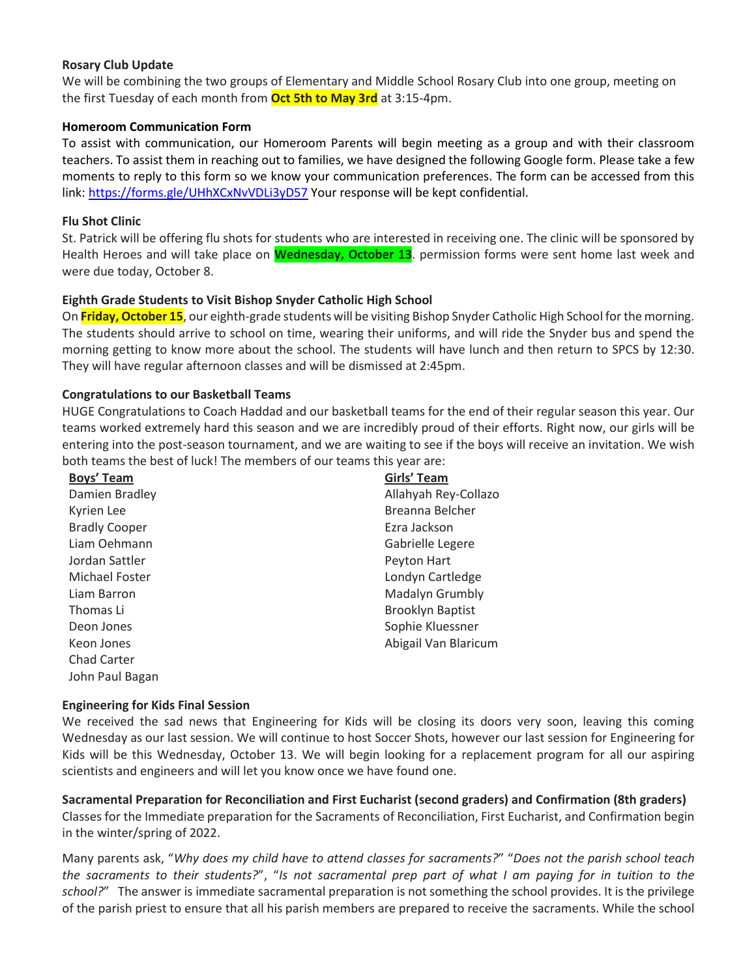#### **Rosary Club Update**

We will be combining the two groups of Elementary and Middle School Rosary Club into one group, meeting on the first Tuesday of each month from **Oct 5th to May 3rd** at 3:15-4pm.

#### **Homeroom Communication Form**

To assist with communication, our Homeroom Parents will begin meeting as a group and with their classroom teachers. To assist them in reaching out to families, we have designed the following Google form. Please take a few moments to reply to this form so we know your communication preferences. The form can be accessed from this link[: https://forms.gle/UHhXCxNvVDLi3yD57](https://forms.gle/UHhXCxNvVDLi3yD57) Your response will be kept confidential.

#### **Flu Shot Clinic**

St. Patrick will be offering flu shots for students who are interested in receiving one. The clinic will be sponsored by Health Heroes and will take place on **Wednesday, October 13**. permission forms were sent home last week and were due today, October 8.

### **Eighth Grade Students to Visit Bishop Snyder Catholic High School**

On **Friday, October 15**, our eighth-grade students will be visiting Bishop Snyder Catholic High School for the morning. The students should arrive to school on time, wearing their uniforms, and will ride the Snyder bus and spend the morning getting to know more about the school. The students will have lunch and then return to SPCS by 12:30. They will have regular afternoon classes and will be dismissed at 2:45pm.

### **Congratulations to our Basketball Teams**

HUGE Congratulations to Coach Haddad and our basketball teams for the end of their regular season this year. Our teams worked extremely hard this season and we are incredibly proud of their efforts. Right now, our girls will be entering into the post-season tournament, and we are waiting to see if the boys will receive an invitation. We wish both teams the best of luck! The members of our teams this year are:

| Boys' Team           | Girls' Team             |  |
|----------------------|-------------------------|--|
| Damien Bradley       | Allahyah Rey-Collazo    |  |
| Kyrien Lee           | Breanna Belcher         |  |
| <b>Bradly Cooper</b> | Ezra Jackson            |  |
| Liam Oehmann         | Gabrielle Legere        |  |
| Jordan Sattler       | Peyton Hart             |  |
| Michael Foster       | Londyn Cartledge        |  |
| Liam Barron          | Madalyn Grumbly         |  |
| Thomas Li            | <b>Brooklyn Baptist</b> |  |
| Deon Jones           | Sophie Kluessner        |  |
| Keon Jones           | Abigail Van Blaricum    |  |
| <b>Chad Carter</b>   |                         |  |
| John Paul Bagan      |                         |  |

#### **Engineering for Kids Final Session**

We received the sad news that Engineering for Kids will be closing its doors very soon, leaving this coming Wednesday as our last session. We will continue to host Soccer Shots, however our last session for Engineering for Kids will be this Wednesday, October 13. We will begin looking for a replacement program for all our aspiring scientists and engineers and will let you know once we have found one.

**Sacramental Preparation for Reconciliation and First Eucharist (second graders) and Confirmation (8th graders)** Classes for the Immediate preparation for the Sacraments of Reconciliation, First Eucharist, and Confirmation begin in the winter/spring of 2022.

Many parents ask, "*Why does my child have to attend classes for sacraments?*" "*Does not the parish school teach the sacraments to their students?*", "*Is not sacramental prep part of what I am paying for in tuition to the school?*" The answer is immediate sacramental preparation is not something the school provides. It is the privilege of the parish priest to ensure that all his parish members are prepared to receive the sacraments. While the school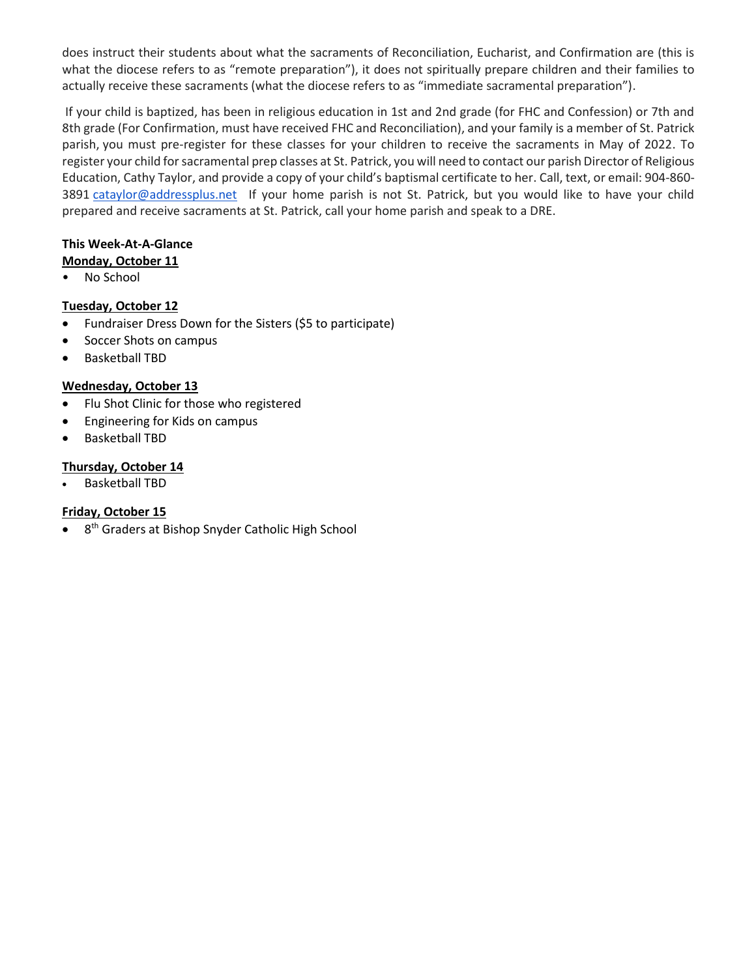does instruct their students about what the sacraments of Reconciliation, Eucharist, and Confirmation are (this is what the diocese refers to as "remote preparation"), it does not spiritually prepare children and their families to actually receive these sacraments (what the diocese refers to as "immediate sacramental preparation").

If your child is baptized, has been in religious education in 1st and 2nd grade (for FHC and Confession) or 7th and 8th grade (For Confirmation, must have received FHC and Reconciliation), and your family is a member of St. Patrick parish, you must pre-register for these classes for your children to receive the sacraments in May of 2022. To register your child for sacramental prep classes at St. Patrick, you will need to contact our parish Director of Religious Education, Cathy Taylor, and provide a copy of your child's baptismal certificate to her. Call, text, or email: 904-860 3891 [cataylor@addressplus.net](mailto:cataylor@addressplus.net) If your home parish is not St. Patrick, but you would like to have your child prepared and receive sacraments at St. Patrick, call your home parish and speak to a DRE.

### **This Week-At-A-Glance**

- **Monday, October 11**
- No School

# **Tuesday, October 12**

- Fundraiser Dress Down for the Sisters (\$5 to participate)
- Soccer Shots on campus
- Basketball TBD

# **Wednesday, October 13**

- Flu Shot Clinic for those who registered
- Engineering for Kids on campus
- Basketball TBD

# **Thursday, October 14**

• Basketball TBD

# **Friday, October 15**

• 8<sup>th</sup> Graders at Bishop Snyder Catholic High School